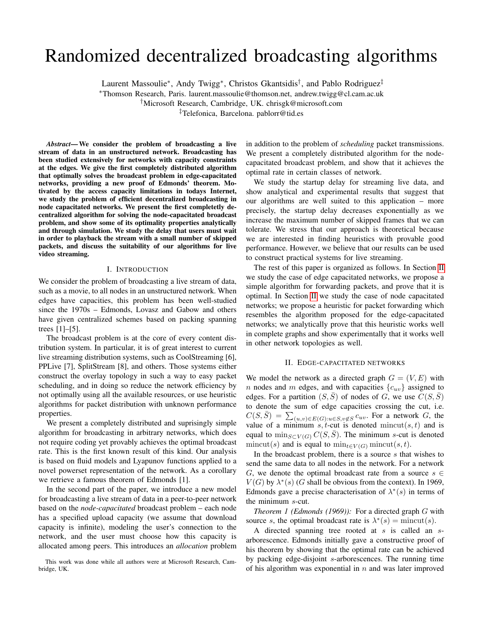# Randomized decentralized broadcasting algorithms

Laurent Massoulie<sup>∗</sup>, Andy Twigg<sup>∗</sup>, Christos Gkantsidis<sup>†</sup>, and Pablo Rodriguez<sup>‡</sup>

<sup>∗</sup>Thomson Research, Paris. laurent.massoulie@thomson.net, andrew.twigg@cl.cam.ac.uk

†Microsoft Research, Cambridge, UK. chrisgk@microsoft.com

‡Telefonica, Barcelona. pablorr@tid.es

*Abstract*— We consider the problem of broadcasting a live stream of data in an unstructured network. Broadcasting has been studied extensively for networks with capacity constraints at the edges. We give the first completely distributed algorithm that optimally solves the broadcast problem in edge-capacitated networks, providing a new proof of Edmonds' theorem. Motivated by the access capacity limitations in todays Internet, we study the problem of efficient decentralized broadcasting in node capacitated networks. We present the first completetly decentralized algorithm for solving the node-capacitated broadcast problem, and show some of its optimality properties analytically and through simulation. We study the delay that users must wait in order to playback the stream with a small number of skipped packets, and discuss the suitability of our algorithms for live video streaming.

### I. INTRODUCTION

We consider the problem of broadcasting a live stream of data, such as a movie, to all nodes in an unstructured network. When edges have capacities, this problem has been well-studied since the 1970s – Edmonds, Lovasz and Gabow and others have given centralized schemes based on packing spanning trees [1]–[5].

The broadcast problem is at the core of every content distribution system. In particular, it is of great interest to current live streaming distribution systems, such as CoolStreaming [6], PPLive [7], SplitStream [8], and others. Those systems either construct the overlay topology in such a way to easy packet scheduling, and in doing so reduce the network efficiency by not optimally using all the available resources, or use heuristic algorithms for packet distribution with unknown performance properties.

We present a completely distributed and suprisingly simple algorithm for broadcasting in arbitrary networks, which does not require coding yet provably achieves the optimal broadcast rate. This is the first known result of this kind. Our analysis is based on fluid models and Lyapunov functions applied to a novel powerset representation of the network. As a corollary we retrieve a famous theorem of Edmonds [1].

In the second part of the paper, we introduce a new model for broadcasting a live stream of data in a peer-to-peer network based on the *node-capacitated* broadcast problem – each node has a specified upload capacity (we assume that download capacity is infinite), modeling the user's connection to the network, and the user must choose how this capacity is allocated among peers. This introduces an *allocation* problem

This work was done while all authors were at Microsoft Research, Cambridge, UK.

in addition to the problem of *scheduling* packet transmissions. We present a completely distributed algorithm for the nodecapacitated broadcast problem, and show that it achieves the optimal rate in certain classes of network.

We study the startup delay for streaming live data, and show analytical and experimental results that suggest that our algorithms are well suited to this application – more precisely, the startup delay decreases exponentially as we increase the maximum number of skipped frames that we can tolerate. We stress that our approach is theoretical because we are interested in finding heuristics with provable good performance. However, we believe that our results can be used to construct practical systems for live streaming.

The rest of this paper is organized as follows. In Section [II](#page-0-0) we study the case of edge capacitated networks, we propose a simple algorithm for forwarding packets, and prove that it is optimal. In Section [II](#page-0-0) we study the case of node capacitated networks; we propose a heuristic for packet forwarding which resembles the algorithm proposed for the edge-capacitated networks; we analytically prove that this heuristic works well in complete graphs and show experimentally that it works well in other network topologies as well.

#### II. EDGE-CAPACITATED NETWORKS

<span id="page-0-0"></span>We model the network as a directed graph  $G = (V, E)$  with *n* nodes and *m* edges, and with capacities  $\{c_{uv}\}$  assigned to edges. For a partition  $(S, \overline{S})$  of nodes of G, we use  $C(S, \overline{S})$ to denote the sum of edge capacities crossing the cut, i.e.  $C(S,\bar{S}) = \sum_{(u,v)\in E(G): u\in S,v\not\in S} c_{uv}$ . For a network G, the value of a minimum s, t-cut is denoted mincut(s, t) and is equal to  $\min_{S \subset V(G)} C(S, \overline{S})$ . The minimum s-cut is denoted mincut(s) and is equal to  $\min_{t \in V(G)} \text{mincut}(s, t)$ .

In the broadcast problem, there is a source s that wishes to send the same data to all nodes in the network. For a network G, we denote the optimal broadcast rate from a source  $s \in$  $V(G)$  by  $\lambda^*(s)$  (G shall be obvious from the context). In 1969, Edmonds gave a precise characterisation of  $\lambda^*(s)$  in terms of the minimum s-cut.

*Theorem 1 (Edmonds (1969)):* For a directed graph G with source s, the optimal broadcast rate is  $\lambda^*(s) = \text{mincut}(s)$ .

A directed spanning tree rooted at s is called an  $s$ arborescence. Edmonds initially gave a constructive proof of his theorem by showing that the optimal rate can be achieved by packing edge-disjoint s-arborescences. The running time of his algorithm was exponential in  $n$  and was later improved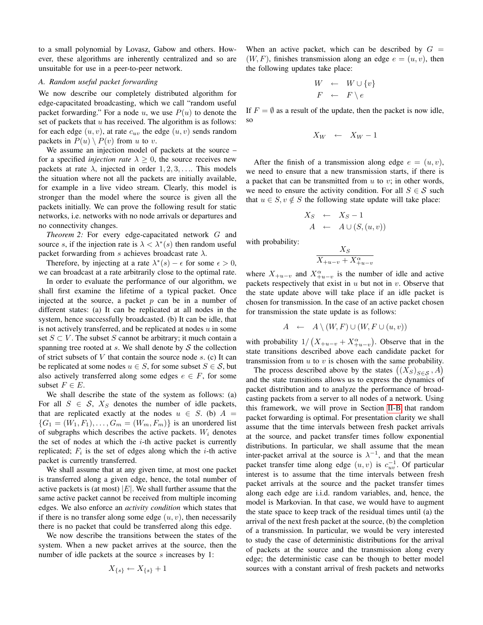to a small polynomial by Lovasz, Gabow and others. However, these algorithms are inherently centralized and so are unsuitable for use in a peer-to-peer network.

## <span id="page-1-1"></span>*A. Random useful packet forwarding*

We now describe our completely distributed algorithm for edge-capacitated broadcasting, which we call "random useful packet forwarding." For a node  $u$ , we use  $P(u)$  to denote the set of packets that  $u$  has received. The algorithm is as follows: for each edge  $(u, v)$ , at rate  $c_{uv}$  the edge  $(u, v)$  sends random packets in  $P(u) \setminus P(v)$  from u to v.

We assume an injection model of packets at the source – for a specified *injection rate*  $\lambda \geq 0$ , the source receives new packets at rate  $\lambda$ , injected in order  $1, 2, 3, \ldots$ . This models the situation where not all the packets are initially available, for example in a live video stream. Clearly, this model is stronger than the model where the source is given all the packets initially. We can prove the following result for static networks, i.e. networks with no node arrivals or departures and no connectivity changes.

<span id="page-1-0"></span>*Theorem 2:* For every edge-capacitated network G and source s, if the injection rate is  $\lambda < \lambda^*(s)$  then random useful packet forwarding from s achieves broadcast rate  $\lambda$ .

Therefore, by injecting at a rate  $\lambda^*(s) - \epsilon$  for some  $\epsilon > 0$ , we can broadcast at a rate arbitrarily close to the optimal rate.

In order to evaluate the performance of our algorithm, we shall first examine the lifetime of a typical packet. Once injected at the source, a packet  $p$  can be in a number of different states: (a) It can be replicated at all nodes in the system, hence successfully broadcasted. (b) It can be idle, that is not actively transferred, and be replicated at nodes  $u$  in some set  $S \subset V$ . The subset S cannot be arbitrary; it much contain a spanning tree rooted at s. We shall denote by  $S$  the collection of strict subsets of  $V$  that contain the source node  $s$ . (c) It can be replicated at some nodes  $u \in S$ , for some subset  $S \in S$ , but also actively transferred along some edges  $e \in F$ , for some subset  $F \in E$ .

We shall describe the state of the system as follows: (a) For all  $S \in \mathcal{S}$ ,  $X_S$  denotes the number of idle packets, that are replicated exactly at the nodes  $u \in S$ . (b)  $A =$  $\{G_1 = (W_1, F_1), \ldots, G_m = (W_m, F_m)\}\$ is an unordered list of subgraphs which describes the active packets.  $W_i$  denotes the set of nodes at which the  $i$ -th active packet is currently replicated;  $F_i$  is the set of edges along which the *i*-th active packet is currently transferred.

We shall assume that at any given time, at most one packet is transferred along a given edge, hence, the total number of active packets is (at most)  $|E|$ . We shall further assume that the same active packet cannot be received from multiple incoming edges. We also enforce an *activity condition* which states that if there is no transfer along some edge  $(u, v)$ , then necessarily there is no packet that could be transferred along this edge.

We now describe the transitions between the states of the system. When a new packet arrives at the source, then the number of idle packets at the source  $s$  increases by 1:

$$
X_{\{s\}} \leftarrow X_{\{s\}} + 1
$$

When an active packet, which can be described by  $G =$  $(W, F)$ , finishes transmission along an edge  $e = (u, v)$ , then the following updates take place:

$$
W \leftarrow W \cup \{v\}
$$

$$
F \leftarrow F \setminus e
$$

If  $F = \emptyset$  as a result of the update, then the packet is now idle, so

$$
X_W \quad \leftarrow \quad X_W - 1
$$

After the finish of a transmission along edge  $e = (u, v)$ , we need to ensure that a new transmission starts, if there is a packet that can be transmitted from  $u$  to  $v$ ; in other words, we need to ensure the activity condition. For all  $S \in \mathcal{S}$  such that  $u \in S$ ,  $v \notin S$  the following state update will take place:

$$
X_S \leftarrow X_S - 1
$$
  

$$
A \leftarrow A \cup (S, (u, v))
$$

with probability:

$$
\frac{X_S}{X_{+u-v} + X_{+u-v}^{\alpha}}
$$

where  $X_{+u-v}$  and  $X_{+u-v}^{\alpha}$  is the number of idle and active packets respectively that exist in  $u$  but not in  $v$ . Observe that the state update above will take place if an idle packet is chosen for transmission. In the case of an active packet chosen for transmission the state update is as follows:

$$
A \leftarrow A \setminus (W, F) \cup (W, F \cup (u, v))
$$

with probability  $1/(X_{+u-v} + X_{+u-v}^{\alpha})$ . Observe that in the state transitions described above each candidate packet for transmission from  $u$  to  $v$  is chosen with the same probability.

The process described above by the states  $((X_S)_{S \in \mathcal{S}}, A)$ and the state transitions allows us to express the dynamics of packet distribution and to analyze the performance of broadcasting packets from a server to all nodes of a network. Using this framework, we will prove in Section [II-B](#page-2-0) that random packet forwarding is optimal. For presentation clarity we shall assume that the time intervals between fresh packet arrivals at the source, and packet transfer times follow exponential distributions. In particular, we shall assume that the mean inter-packet arrival at the source is  $\lambda^{-1}$ , and that the mean packet transfer time along edge  $(u, v)$  is  $c_{uv}^{-1}$ . Of particular interest is to assume that the time intervals between fresh packet arrivals at the source and the packet transfer times along each edge are i.i.d. random variables, and, hence, the model is Markovian. In that case, we would have to augment the state space to keep track of the residual times until (a) the arrival of the next fresh packet at the source, (b) the completion of a transmission. In particular, we would be very interested to study the case of deterministic distributions for the arrival of packets at the source and the transmission along every edge; the deterministic case can be though to better model sources with a constant arrival of fresh packets and networks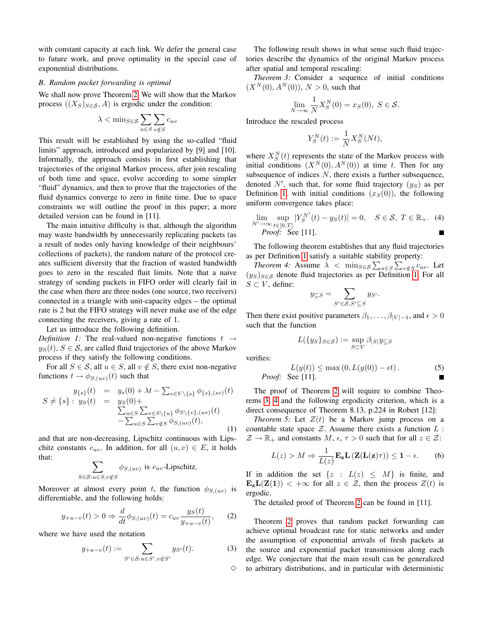with constant capacity at each link. We defer the general case to future work, and prove optimality in the special case of exponential distributions.

#### <span id="page-2-0"></span>*B. Random packet forwarding is optimal*

We shall now prove Theorem [2.](#page-1-0) We will show that the Markov process  $((X_S)_{S \in \mathcal{S}}, A)$  is ergodic under the condition:

$$
\lambda < \min_{S \in \mathcal{S}} \sum_{u \in S} \sum_{v \notin S} c_{uv}
$$

This result will be established by using the so-called "fluid limits" approach, introduced and popularized by [9] and [10]. Informally, the approach consists in first establishing that trajectories of the original Markov process, after join rescaling of both time and space, evolve according to some simpler "fluid" dynamics, and then to prove that the trajectories of the fluid dynamics converge to zero in finite time. Due to space constraints we will outline the proof in this paper; a more detailed version can be found in [11].

The main intuitive difficulty is that, although the algorithm may waste bandwidth by unnecessarily replicating packets (as a result of nodes only having knowledge of their neighbours' collections of packets), the random nature of the protocol creates sufficient diversity that the fraction of wasted bandwidth goes to zero in the rescaled fluit limits. Note that a naive strategy of sending packets in FIFO order will clearly fail in the case when there are three nodes (one source, two receivers) connected in a triangle with unit-capacity edges – the optimal rate is 2 but the FIFO strategy will never make use of the edge connecting the receivers, giving a rate of 1.

Let us introduce the following definition.

*Definition 1:* The real-valued non-negative functions  $t \rightarrow$  $y_S(t)$ ,  $S \in \mathcal{S}$ , are called fluid trajectories of the above Markov process if they satisfy the following conditions.

For all  $S \in \mathcal{S}$ , all  $u \in S$ , all  $v \notin S$ , there exist non-negative functions  $t \to \phi_{S,(uv)}(t)$  such that

$$
y_{\{s\}}(t) = y_s(0) + \lambda t - \sum_{v \in V \setminus \{s\}} \phi_{\{s\}, (sv)}(t)
$$
  
\n
$$
S \neq \{s\} : y_S(t) = y_S(0) + \sum_{u \in S} \sum_{v \in S \setminus \{u\}} \phi_{S \setminus \{v\}, (uv)}(t)
$$
  
\n
$$
- \sum_{u \in S} \sum_{v \notin S} \phi_{S, (uv)}(t),
$$
  
\n(1)

and that are non-decreasing, Lipschitz continuous with Lipschitz constants  $c_{uv}$ . In addition, for all  $(u, v) \in E$ , it holds that:

$$
\sum_{S \in \mathcal{S}: u \in S, v \notin S} \phi_{S,(uv)} \text{ is } c_{uv} \text{-Lipschitz.}
$$

Moreover at almost every point t, the function  $\phi_{S,(uv)}$  is differentiable, and the following holds:

$$
y_{+u-v}(t) > 0 \Rightarrow \frac{d}{dt} \phi_{S,(uv)}(t) = c_{uv} \frac{y_S(t)}{y_{+u-v}(t)},
$$
 (2)

where we have used the notation

$$
y_{+u-v}(t) := \sum_{S' \in \mathcal{S}: u \in S', v \notin S'} y_{S'}(t). \tag{3}
$$

The following result shows in what sense such fluid trajectories describe the dynamics of the original Markov process after spatial and temporal rescaling:

*Theorem 3:* Consider a sequence of initial conditions  $(X^N(0), A^N(0)), N > 0$ , such that

<span id="page-2-2"></span>
$$
\lim_{N \to \infty} \frac{1}{N} X_S^N(0) = x_S(0), \ S \in \mathcal{S}.
$$

Introduce the rescaled process

$$
Y_S^N(t) := \frac{1}{N} X_S^N(Nt),
$$

where  $X_S^N(t)$  represents the state of the Markov process with initial conditions  $(X^N(0), A^N(0))$  at time t. Then for any subsequence of indices  $N$ , there exists a further subsequence, denoted  $N'$ , such that, for some fluid trajectory  $(y_S)$  as per Definition [1,](#page-2-1) with initial conditions  $(x_S(0))$ , the following uniform convergence takes place:

$$
\lim_{N' \to \infty} \sup_{\substack{t \in [0,T] \\ \text{Proof:} \quad \text{See [11].}}} |Y_S^{N'}(t) - y_S(t)| = 0, \quad S \in \mathcal{S}, \ T \in \mathbb{R}_+. \tag{4}
$$

The following theorem establishes that any fluid trajectories as per Definition [1](#page-2-1) satisfy a suitable stability property:

*Theorem 4:* Assume  $\lambda < \min_{S \in \mathcal{S}} \sum_{u \in S} \sum_{v \notin S} c_{uv}$ . Let  $(y_S)_{S \in \mathcal{S}}$  denote fluid trajectories as per Definition [1.](#page-2-1) For all  $S \subset V$ , define:

<span id="page-2-3"></span>
$$
y_{\subseteq S} = \sum_{S' \in \mathcal{S}, S' \subseteq S} y_{S'}.
$$

<span id="page-2-1"></span>Then there exist positive parameters  $\beta_1, \dots, \beta_{|V|-1}$ , and  $\epsilon > 0$ such that the function

<span id="page-2-5"></span>
$$
L(\{y_S\}_{S \in \mathcal{S}}) := \sup_{S \subset V} \beta_{|S|} y_{\subseteq S}
$$

<span id="page-2-4"></span>verifies:

 $\Diamond$ 

$$
L(y(t)) \le \max(0, L(y(0)) - \epsilon t).
$$
 (5)  
Proof: See [11].

The proof of Theorem [2](#page-1-0) will require to combine Theorems [3,](#page-2-2) [4](#page-2-3) and the following ergodicity criterion, which is a direct consequence of Theorem 8.13, p.224 in Robert [12]:

*Theorem 5:* Let  $Z(t)$  be a Markov jump process on a countable state space  $Z$ . Assume there exists a function  $L$ :  $\mathcal{Z} \to \mathbb{R}_+$  and constants  $M$ ,  $\epsilon$ ,  $\tau > 0$  such that for all  $z \in \mathcal{Z}$ :

$$
L(z) > M \Rightarrow \frac{1}{L(z)} \mathbf{E}_{\mathbf{z}} \mathbf{L} \left( \mathbf{Z} (\mathbf{L}(\mathbf{z}) \tau) \right) \leq 1 - \epsilon. \tag{6}
$$

If in addition the set  $\{z : L(z) \leq M\}$  is finite, and  $\mathbf{E}_{z}L(Z(1)) < +\infty$  for all  $z \in \mathcal{Z}$ , then the process  $Z(t)$  is ergodic.

The detailed proof of Theorem [2](#page-1-0) can be found in [11].

Theorem [2](#page-1-0) proves that random packet forwarding can achieve optimal broadcast rate for static networks and under the assumption of exponential arrivals of fresh packets at the source and exponential packet transmission along each edge. We conjecture that the main result can be generalized to arbitrary distributions, and in particular with deterministic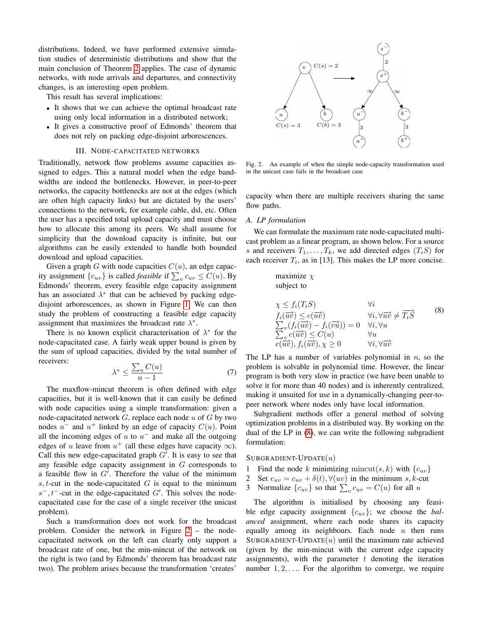distributions. Indeed, we have performed extensive simulation studies of deterministic distributions and show that the main conclusion of Theorem [2](#page-1-0) applies. The case of dynamic networks, with node arrivals and departures, and connectivity changes, is an interesting open problem.

This result has several implications:

- It shows that we can achieve the optimal broadcast rate using only local information in a distributed network;
- It gives a constructive proof of Edmonds' theorem that does not rely on packing edge-disjoint arborescences.

## III. NODE-CAPACITATED NETWORKS

Traditionally, network flow problems assume capacities assigned to edges. This a natural model when the edge bandwidths are indeed the bottlenecks. However, in peer-to-peer networks, the capacity bottlenecks are not at the edges (which are often high capacity links) but are dictated by the users' connections to the network, for example cable, dsl, etc. Often the user has a specified total upload capacity and must choose how to allocate this among its peers. We shall assume for simplicity that the download capacity is infinite, but our algorithms can be easily extended to handle both bounded download and upload capacities.

Given a graph  $G$  with node capacities  $C(u)$ , an edge capacity assignment  $\{c_{uv}\}$  is called *feasible* if  $\sum_v c_{uv} \leq C(u)$ . By Edmonds' theorem, every feasible edge capacity assignment has an associated  $\lambda^*$  that can be achieved by packing edgedisjoint arborescences, as shown in Figure [1.](#page-4-0) We can then study the problem of constructing a feasible edge capacity assignment that maximizes the broadcast rate  $\lambda^*$ .

There is no known explicit characterisation of  $\lambda^*$  for the node-capacitated case. A fairly weak upper bound is given by the sum of upload capacities, divided by the total number of receivers:

$$
\lambda^* \le \frac{\sum_u C(u)}{n-1} \tag{7}
$$

The maxflow-mincut theorem is often defined with edge capacities, but it is well-known that it can easily be defined with node capacities using a simple transformation: given a node-capacitated network  $G$ , replace each node  $u$  of  $G$  by two nodes  $u^-$  and  $u^+$  linked by an edge of capacity  $C(u)$ . Point all the incoming edges of  $u$  to  $u^-$  and make all the outgoing edges of u leave from  $u^+$  (all these edges have capacity  $\infty$ ). Call this new edge-capacitated graph  $G'$ . It is easy to see that any feasible edge capacity assignment in G corresponds to a feasible flow in  $G'$ . Therefore the value of the minimum s, t-cut in the node-capacitated  $G$  is equal to the minimum  $s^-$ ,  $t^-$ -cut in the edge-capacitated  $G'$ . This solves the nodecapacitated case for the case of a single receiver (the unicast problem).

Such a transformation does not work for the broadcast problem. Consider the network in Figure [2](#page-3-0) – the nodecapacitated network on the left can clearly only support a broadcast rate of one, but the min-mincut of the network on the right is two (and by Edmonds' theorem has broadcast rate two). The problem arises because the transformation 'creates'



<span id="page-3-0"></span>Fig. 2. An example of when the simple node-capacity transformation used in the unicast case fails in the broadcast case

capacity when there are multiple receivers sharing the same flow paths.

## *A. LP formulation*

We can formulate the maximum rate node-capacitated multicast problem as a linear program, as shown below. For a source s and receivers  $T_1, \ldots, T_k$ , we add directed edges  $(T_iS)$  for each receiver  $T_i$ , as in [13]. This makes the LP more concise.

<span id="page-3-1"></span>
$$
maximize \chi
$$
  
subject to

$$
\chi \le f_i(T_iS) \qquad \forall i
$$
\n
$$
f_i(\overrightarrow{uv}) \le c(\overrightarrow{uv}) \qquad \forall i, \forall \overrightarrow{uv} \ne \overrightarrow{T_iS} \qquad (8)
$$
\n
$$
\sum_v (f_i(\overrightarrow{uv}) - f_i(\overrightarrow{vu})) = 0 \qquad \forall i, \forall u
$$
\n
$$
\sum_v c(\overrightarrow{uv}) \le C(u) \qquad \forall u
$$
\n
$$
c(\overrightarrow{uv}), f_i(\overrightarrow{uv}), \chi \ge 0 \qquad \forall i, \forall \overrightarrow{uv}
$$

The LP has a number of variables polynomial in  $n$ , so the problem is solvable in polynomial time. However, the linear program is both very slow in practice (we have been unable to solve it for more than 40 nodes) and is inherently centralized, making it unsuited for use in a dynamically-changing peer-topeer network where nodes only have local information.

Subgradient methods offer a general method of solving optimization problems in a distributed way. By working on the dual of the LP in [\(8\)](#page-3-1), we can write the following subgradient formulation:

#### $SUBGRAPH-UPDATE(u)$

- 1 Find the node k minimizing mincut(s, k) with  $\{c_{uv}\}$
- 2 Set  $c_{uv} = c_{uv} + \delta(t)$ ,  $\forall (uv)$  in the minimum s, k-cut
- 3 Normalize  $\{c_{uv}\}$  so that  $\sum_v c_{uv} = C(u)$  for all u

The algorithm is initialised by choosing any feasible edge capacity assignment {cuv}; we choose the *balanced* assignment, where each node shares its capacity equally among its neighbours. Each node  $u$  then runs SUBGRADIENT-UPDATE $(u)$  until the maximum rate achieved (given by the min-mincut with the current edge capacity assignments), with the parameter  $t$  denoting the iteration number  $1, 2, \ldots$  For the algorithm to converge, we require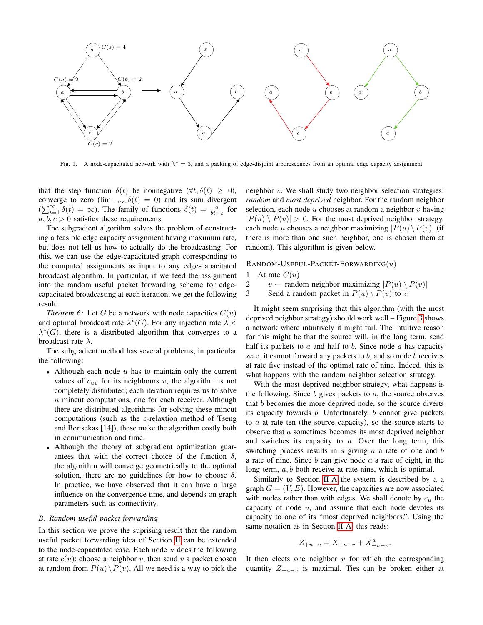

<span id="page-4-0"></span>Fig. 1. A node-capacitated network with  $\lambda^* = 3$ , and a packing of edge-disjoint arborescences from an optimal edge capacity assignment

that the step function  $\delta(t)$  be nonnegative  $(\forall t, \delta(t) \geq 0)$ , converge to zero (lim<sub>t→∞</sub>  $\delta(t) = 0$ ) and its sum divergent  $(\sum_{t=1}^{\infty} \delta(t) = \infty)$ . The family of functions  $\delta(t) = \frac{a}{bt+c}$  for  $a, b, c > 0$  satisfies these requirements.

The subgradient algorithm solves the problem of constructing a feasible edge capacity assignment having maximum rate, but does not tell us how to actually do the broadcasting. For this, we can use the edge-capacitated graph corresponding to the computed assignments as input to any edge-capacitated broadcast algorithm. In particular, if we feed the assignment into the random useful packet forwarding scheme for edgecapacitated broadcasting at each iteration, we get the following result.

*Theorem 6:* Let G be a network with node capacities  $C(u)$ and optimal broadcast rate  $\lambda^*(G)$ . For any injection rate  $\lambda <$  $\lambda^*(G)$ , there is a distributed algorithm that converges to a broadcast rate  $\lambda$ .

The subgradient method has several problems, in particular the following:

- Although each node  $u$  has to maintain only the current values of  $c_{uv}$  for its neighbours v, the algorithm is not completely distributed; each iteration requires us to solve  $n$  mincut computations, one for each receiver. Although there are distributed algorithms for solving these mincut computations (such as the  $\varepsilon$ -relaxtion method of Tseng and Bertsekas [14]), these make the algorithm costly both in communication and time.
- Although the theory of subgradient optimization guarantees that with the correct choice of the function  $\delta$ , the algorithm will converge geometrically to the optimal solution, there are no guidelines for how to choose  $\delta$ . In practice, we have observed that it can have a large influence on the convergence time, and depends on graph parameters such as connectivity.

#### *B. Random useful packet forwarding*

In this section we prove the suprising result that the random useful packet forwarding idea of Section [II](#page-0-0) can be extended to the node-capacitated case. Each node  $u$  does the following at rate  $c(u)$ : choose a neighbor v, then send v a packet chosen at random from  $P(u) \setminus P(v)$ . All we need is a way to pick the neighbor v. We shall study two neighbor selection strategies: *random* and *most deprived* neighbor. For the random neighbor selection, each node  $u$  chooses at random a neighbor  $v$  having  $|P(u) \setminus P(v)| > 0$ . For the most deprived neighbor strategy, each node u chooses a neighbor maximizing  $|P(u) \setminus P(v)|$  (if there is more than one such neighbor, one is chosen them at random). This algorithm is given below.

RANDOM-USEFUL-PACKET-FORWARDING $(u)$ 

- 1 At rate  $C(u)$
- 2 v ← random neighbor maximizing  $|P(u) \setminus P(v)|$
- 3 Send a random packet in  $P(u) \setminus P(v)$  to v

It might seem surprising that this algorithm (with the most deprived neighbor strategy) should work well – Figure [3](#page-5-0) shows a network where intuitively it might fail. The intuitive reason for this might be that the source will, in the long term, send half its packets to  $a$  and half to  $b$ . Since node  $a$  has capacity zero, it cannot forward any packets to  $b$ , and so node  $b$  receives at rate five instead of the optimal rate of nine. Indeed, this is what happens with the random neighbor selection strategy.

With the most deprived neighbor strategy, what happens is the following. Since  $b$  gives packets to  $a$ , the source observes that  $b$  becomes the more deprived node, so the source diverts its capacity towards  $b$ . Unfortunately,  $b$  cannot give packets to a at rate ten (the source capacity), so the source starts to observe that a sometimes becomes its most deprived neighbor and switches its capacity to  $a$ . Over the long term, this switching process results in  $s$  giving  $a$  a rate of one and  $b$ a rate of nine. Since  $b$  can give node  $a$  a rate of eight, in the long term,  $a, b$  both receive at rate nine, which is optimal.

Similarly to Section [II-A](#page-1-1) the system is described by a a graph  $G = (V, E)$ . However, the capacities are now associated with nodes rather than with edges. We shall denote by  $c<sub>u</sub>$  the capacity of node  $u$ , and assume that each node devotes its capacity to one of its "most deprived neighbors.". Using the same notation as in Section [II-A,](#page-1-1) this reads:

$$
Z_{+u-v} = X_{+u-v} + X_{+u-v}^a.
$$

It then elects one neighbor  $v$  for which the corresponding quantity  $Z_{+u-v}$  is maximal. Ties can be broken either at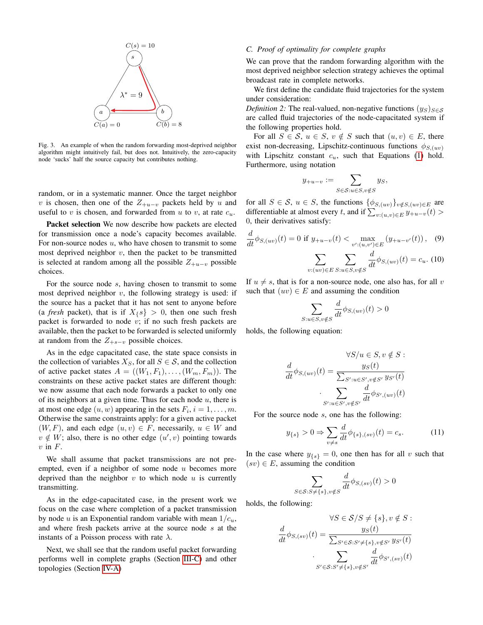

<span id="page-5-0"></span>Fig. 3. An example of when the random forwarding most-deprived neighbor algorithm might intuitively fail, but does not. Intuitively, the zero-capacity node 'sucks' half the source capacity but contributes nothing.

random, or in a systematic manner. Once the target neighbor v is chosen, then one of the  $Z_{+u-v}$  packets held by u and useful to v is chosen, and forwarded from  $u$  to  $v$ , at rate  $c_u$ .

Packet selection We now describe how packets are elected for transmission once a node's capacity becomes available. For non-source nodes  $u$ , who have chosen to transmit to some most deprived neighbor  $v$ , then the packet to be transmitted is selected at random among all the possible  $Z_{+u-v}$  possible choices.

For the source node s, having chosen to transmit to some most deprived neighbor  $v$ , the following strategy is used: if the source has a packet that it has not sent to anyone before (a *fresh* packet), that is if  $X_{\{S\}} > 0$ , then one such fresh packet is forwarded to node  $v$ ; if no such fresh packets are available, then the packet to be forwarded is selected uniformly at random from the  $Z_{+s-v}$  possible choices.

As in the edge capacitated case, the state space consists in the collection of variables  $X_S$ , for all  $S \in \mathcal{S}$ , and the collection of active packet states  $A = ((W_1, F_1), \ldots, (W_m, F_m))$ . The constraints on these active packet states are different though: we now assume that each node forwards a packet to only one of its neighbors at a given time. Thus for each node  $u$ , there is at most one edge  $(u, w)$  appearing in the sets  $F_i$ ,  $i = 1, \ldots, m$ . Otherwise the same constraints apply: for a given active packet  $(W, F)$ , and each edge  $(u, v) \in F$ , necessarily,  $u \in W$  and  $v \notin W$ ; also, there is no other edge  $(u', v)$  pointing towards  $v$  in  $F$ .

We shall assume that packet transmissions are not preempted, even if a neighbor of some node  $u$  becomes more deprived than the neighbor  $v$  to which node  $u$  is currently transmitting.

As in the edge-capacitated case, in the present work we focus on the case where completion of a packet transmission by node u is an Exponential random variable with mean  $1/c<sub>u</sub>$ , and where fresh packets arrive at the source node s at the instants of a Poisson process with rate  $\lambda$ .

Next, we shall see that the random useful packet forwarding performs well in complete graphs (Section [III-C\)](#page-5-1) and other topologies (Section [IV-A\)](#page-7-0)

#### <span id="page-5-1"></span>*C. Proof of optimality for complete graphs*

We can prove that the random forwarding algorithm with the most deprived neighbor selection strategy achieves the optimal broadcast rate in complete networks.

<span id="page-5-2"></span>We first define the candidate fluid trajectories for the system under consideration:

*Definition 2:* The real-valued, non-negative functions  $(y_S)_{S \in S}$ are called fluid trajectories of the node-capacitated system if the following properties hold.

For all  $S \in \mathcal{S}$ ,  $u \in S$ ,  $v \notin S$  such that  $(u, v) \in E$ , there exist non-decreasing, Lipschitz-continuous functions  $\phi_{S,(uv)}$ with Lipschitz constant  $c_u$ , such that Equations [\(1\)](#page-2-4) hold. Furthermore, using notation

$$
y_{+u-v} := \sum_{S \in \mathcal{S}: u \in S, v \notin S} y_S,
$$

for all  $S \in \mathcal{S}$ ,  $u \in S$ , the functions  $\{\phi_{S,(uv)}\}_{v \notin S,(uv) \in E}$  are differentiable at almost every t, and if  $\sum_{v:(u,v)\in E} y_{+u-v}(t)$  > 0, their derivatives satisfy:

$$
\frac{d}{dt}\phi_{S,(uv)}(t) = 0 \text{ if } y_{+u-v}(t) < \max_{v': (u,v') \in E} (y_{+u-v'}(t)), \quad (9)
$$
\n
$$
\sum_{v:(uv) \in E} \sum_{S: u \in S, v \notin S} \frac{d}{dt}\phi_{S,(uv)}(t) = c_u. \quad (10)
$$

If  $u \neq s$ , that is for a non-source node, one also has, for all v such that  $(uv) \in E$  and assuming the condition

$$
\sum_{S: u \in S, v \notin S} \frac{d}{dt} \phi_{S,(uv)}(t) > 0
$$

holds, the following equation:

$$
\forall S/u \in S, v \notin S :
$$

$$
\frac{d}{dt}\phi_{S,(uv)}(t) = \frac{y_S(t)}{\sum_{S': u \in S', v \notin S'} y_{S'}(t)} \cdot \sum_{S': u \in S', v \notin S'} \frac{d}{dt}\phi_{S',(uv)}(t)
$$

For the source node s, one has the following:

$$
y_{\{s\}} > 0 \Rightarrow \sum_{v \neq s} \frac{d}{dt} \phi_{\{s\},(sv)}(t) = c_s. \tag{11}
$$

In the case where  $y_{\{s\}} = 0$ , one then has for all v such that  $(sv) \in E$ , assuming the condition

$$
\sum_{S \in \mathcal{S}: S \neq \{s\}, v \notin S} \frac{d}{dt} \phi_{S,(sv)}(t) > 0
$$

holds, the following:

$$
\forall S \in \mathcal{S}/S \neq \{s\}, v \notin S :
$$

$$
\frac{d}{dt}\phi_{S,(sv)}(t) = \frac{y_S(t)}{\sum_{S' \in \mathcal{S}: S' \neq \{s\}, v \notin S'} y_{S'}(t)} \cdot \sum_{S' \in \mathcal{S}: S' \neq \{s\}, v \notin S'} \frac{d}{dt}\phi_{S',(sv)}(t)
$$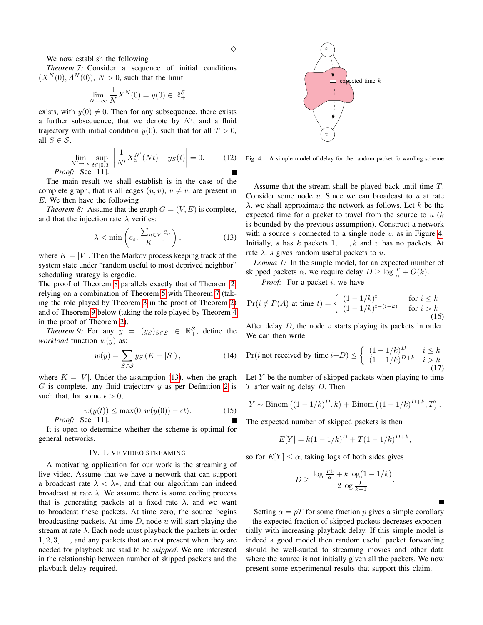We now establish the following

*Theorem 7:* Consider a sequence of initial conditions  $(X^N(0), A^N(0)), N > 0$ , such that the limit

✸

<span id="page-6-1"></span>
$$
\lim_{N \to \infty} \frac{1}{N} X^N(0) = y(0) \in \mathbb{R}_+^{\mathcal{S}}
$$

exists, with  $y(0) \neq 0$ . Then for any subsequence, there exists a further subsequence, that we denote by  $N'$ , and a fluid trajectory with initial condition  $y(0)$ , such that for all  $T > 0$ , all  $S \in \mathcal{S}$ ,

$$
\lim_{N' \to \infty} \sup_{t \in [0,T]} \left| \frac{1}{N'} X_S^{N'}(Nt) - y_S(t) \right| = 0.
$$
 (12)  
\n*Proof:* See [11].

The main result we shall establish is in the case of the complete graph, that is all edges  $(u, v)$ ,  $u \neq v$ , are present in E. We then have the following

*Theorem 8:* Assume that the graph  $G = (V, E)$  is complete, and that the injection rate  $\lambda$  verifies:

<span id="page-6-3"></span><span id="page-6-0"></span>
$$
\lambda < \min\left(c_s, \frac{\sum_{u \in V} c_u}{K - 1}\right),\tag{13}
$$

where  $K = |V|$ . Then the Markov process keeping track of the system state under "random useful to most deprived neighbor" scheduling strategy is ergodic.

The proof of Theorem [8](#page-6-0) parallels exactly that of Theorem [2,](#page-1-0) relying on a combination of Theorem [5](#page-2-5) with Theorem [7](#page-6-1) (taking the role played by Theorem [3](#page-2-2) in the proof of Theorem [2\)](#page-1-0) and of Theorem [9](#page-6-2) below (taking the role played by Theorem [4](#page-2-3) in the proof of Theorem [2\)](#page-1-0).

*Theorem 9:* For any  $y = (y_S)_{S \in \mathcal{S}} \in \mathbb{R}^{\mathcal{S}}_+$ , define the *workload* function  $w(y)$  as:

<span id="page-6-2"></span>
$$
w(y) = \sum_{S \in \mathcal{S}} y_S (K - |S|), \qquad (14)
$$

where  $K = |V|$ . Under the assumption [\(13\)](#page-6-3), when the graph  $G$  is complete, any fluid trajectory  $y$  as per Definition [2](#page-5-2) is such that, for some  $\epsilon > 0$ ,

$$
w(y(t)) \le \max(0, w(y(0)) - \epsilon t). \tag{15}
$$
  
*Proof:* See [11].

It is open to determine whether the scheme is optimal for general networks.

#### IV. LIVE VIDEO STREAMING

<span id="page-6-5"></span>A motivating application for our work is the streaming of live video. Assume that we have a network that can support a broadcast rate  $\lambda < \lambda$ \*, and that our algorithm can indeed broadcast at rate  $\lambda$ . We assume there is some coding process that is generating packets at a fixed rate  $\lambda$ , and we want to broadcast these packets. At time zero, the source begins broadcasting packets. At time  $D$ , node  $u$  will start playing the stream at rate  $\lambda$ . Each node must playback the packets in order  $1, 2, 3, \ldots$ , and any packets that are not present when they are needed for playback are said to be *skipped*. We are interested in the relationship between number of skipped packets and the playback delay required.



<span id="page-6-4"></span>Fig. 4. A simple model of delay for the random packet forwarding scheme

Assume that the stream shall be played back until time T. Consider some node  $u$ . Since we can broadcast to  $u$  at rate  $\lambda$ , we shall approximate the network as follows. Let k be the expected time for a packet to travel from the source to  $u(k)$ is bounded by the previous assumption). Construct a network with a source  $s$  connected to a single node  $v$ , as in Figure [4.](#page-6-4) Initially, s has k packets  $1, \ldots, k$  and v has no packets. At rate  $\lambda$ , s gives random useful packets to u.

*Lemma 1:* In the simple model, for an expected number of skipped packets  $\alpha$ , we require delay  $D \ge \log \frac{T}{\alpha} + O(k)$ .

*Proof:* For a packet *i*, we have

$$
\Pr(i \notin P(A) \text{ at time } t) = \begin{cases} (1 - 1/k)^t & \text{for } i \le k \\ (1 - 1/k)^{t - (i - k)} & \text{for } i > k \\ (16) & \text{for } i \le k \end{cases}
$$

After delay  $D$ , the node  $v$  starts playing its packets in order. We can then write

$$
\Pr(i \text{ not received by time } i+D) \le \left\{ \begin{array}{ll} (1-1/k)^D & i \le k \\ (1-1/k)^{D+k} & i > k \end{array} \right. \tag{17}
$$

Let  $Y$  be the number of skipped packets when playing to time  $T$  after waiting delay  $D$ . Then

$$
Y \sim \text{Binom}((1 - 1/k)^D, k) + \text{Binom}((1 - 1/k)^{D+k}, T).
$$

The expected number of skipped packets is then

$$
E[Y] = k(1 - 1/k)^{D} + T(1 - 1/k)^{D+k},
$$

so for  $E[Y] \leq \alpha$ , taking logs of both sides gives

$$
D \ge \frac{\log \frac{Tk}{\alpha} + k \log(1 - 1/k)}{2 \log \frac{k}{k-1}}.
$$

Setting  $\alpha = pT$  for some fraction p gives a simple corollary – the expected fraction of skipped packets decreases exponentially with increasing playback delay. If this simple model is indeed a good model then random useful packet forwarding should be well-suited to streaming movies and other data where the source is not initially given all the packets. We now present some experimental results that support this claim.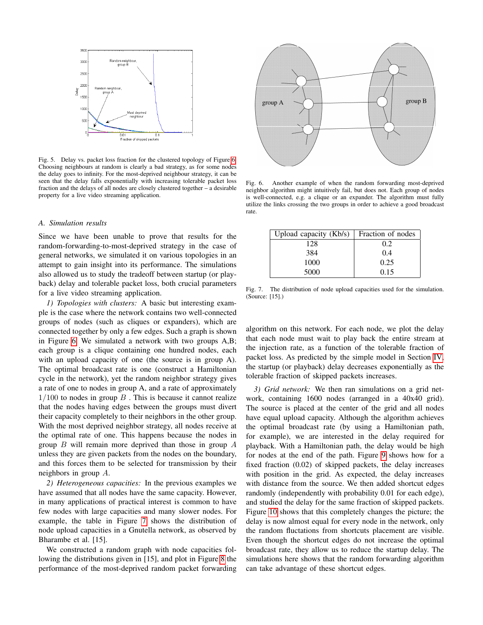

Fig. 5. Delay vs. packet loss fraction for the clustered topology of Figure [6.](#page-7-1) Choosing neighbours at random is clearly a bad strategy, as for some nodes the delay goes to infinity. For the most-deprived neighbour strategy, it can be seen that the delay falls exponentially with increasing tolerable packet loss fraction and the delays of all nodes are closely clustered together – a desirable property for a live video streaming application.

## <span id="page-7-0"></span>*A. Simulation results*

Since we have been unable to prove that results for the random-forwarding-to-most-deprived strategy in the case of general networks, we simulated it on various topologies in an attempt to gain insight into its performance. The simulations also allowed us to study the tradeoff between startup (or playback) delay and tolerable packet loss, both crucial parameters for a live video streaming application.

*1) Topologies with clusters:* A basic but interesting example is the case where the network contains two well-connected groups of nodes (such as cliques or expanders), which are connected together by only a few edges. Such a graph is shown in Figure [6.](#page-7-1) We simulated a network with two groups A,B; each group is a clique containing one hundred nodes, each with an upload capacity of one (the source is in group A). The optimal broadcast rate is one (construct a Hamiltonian cycle in the network), yet the random neighbor strategy gives a rate of one to nodes in group A, and a rate of approximately  $1/100$  to nodes in group B. This is because it cannot realize that the nodes having edges between the groups must divert their capacity completely to their neighbors in the other group. With the most deprived neighbor strategy, all nodes receive at the optimal rate of one. This happens because the nodes in group  $B$  will remain more deprived than those in group  $A$ unless they are given packets from the nodes on the boundary, and this forces them to be selected for transmission by their neighbors in group A.

*2) Heterogeneous capacities:* In the previous examples we have assumed that all nodes have the same capacity. However, in many applications of practical interest is common to have few nodes with large capacities and many slower nodes. For example, the table in Figure [7](#page-7-2) shows the distribution of node upload capacities in a Gnutella network, as observed by Bharambe et al. [15].

We constructed a random graph with node capacities following the distributions given in [15], and plot in Figure [8](#page-8-0) the performance of the most-deprived random packet forwarding



<span id="page-7-1"></span>Fig. 6. Another example of when the random forwarding most-deprived neighbor algorithm might intuitively fail, but does not. Each group of nodes is well-connected, e.g. a clique or an expander. The algorithm must fully utilize the links crossing the two groups in order to achieve a good broadcast rate.

| Upload capacity $(Kb/s)$ Fraction of nodes |      |
|--------------------------------------------|------|
| 128                                        | 0.2  |
| 384                                        | 0.4  |
| 1000                                       | 0.25 |
| 5000                                       | 0.15 |

<span id="page-7-2"></span>Fig. 7. The distribution of node upload capacities used for the simulation. (Source: [15].)

algorithm on this network. For each node, we plot the delay that each node must wait to play back the entire stream at the injection rate, as a function of the tolerable fraction of packet loss. As predicted by the simple model in Section [IV,](#page-6-5) the startup (or playback) delay decreases exponentially as the tolerable fraction of skipped packets increases.

*3) Grid network:* We then ran simulations on a grid network, containing 1600 nodes (arranged in a 40x40 grid). The source is placed at the center of the grid and all nodes have equal upload capacity. Although the algorithm achieves the optimal broadcast rate (by using a Hamiltonian path, for example), we are interested in the delay required for playback. With a Hamiltonian path, the delay would be high for nodes at the end of the path. Figure [9](#page-8-1) shows how for a fixed fraction (0.02) of skipped packets, the delay increases with position in the grid. As expected, the delay increases with distance from the source. We then added shortcut edges randomly (independently with probability 0.01 for each edge), and studied the delay for the same fraction of skipped packets. Figure [10](#page-8-2) shows that this completely changes the picture; the delay is now almost equal for every node in the network, only the random fluctations from shortcuts placement are visible. Even though the shortcut edges do not increase the optimal broadcast rate, they allow us to reduce the startup delay. The simulations here shows that the random forwarding algorithm can take advantage of these shortcut edges.